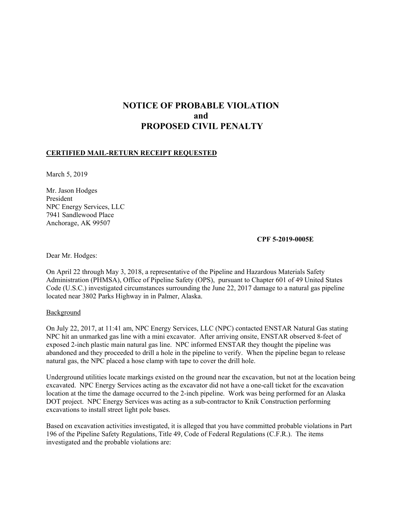# **NOTICE OF PROBABLE VIOLATION and PROPOSED CIVIL PENALTY**

### **CERTIFIED MAIL-RETURN RECEIPT REQUESTED**

March 5, 2019

 NPC Energy Services, LLC Mr. Jason Hodges President 7941 Sandlewood Place Anchorage, AK 99507

#### **CPF 5-2019-0005E**

Dear Mr. Hodges:

 located near 3802 Parks Highway in in Palmer, Alaska. On April 22 through May 3, 2018, a representative of the Pipeline and Hazardous Materials Safety Administration (PHMSA), Office of Pipeline Safety (OPS), pursuant to Chapter 601 of 49 United States Code (U.S.C.) investigated circumstances surrounding the June 22, 2017 damage to a natural gas pipeline

**Background** 

On July 22, 2017, at 11:41 am, NPC Energy Services, LLC (NPC) contacted ENSTAR Natural Gas stating NPC hit an unmarked gas line with a mini excavator. After arriving onsite, ENSTAR observed 8-feet of exposed 2-inch plastic main natural gas line. NPC informed ENSTAR they thought the pipeline was abandoned and they proceeded to drill a hole in the pipeline to verify. When the pipeline began to release natural gas, the NPC placed a hose clamp with tape to cover the drill hole.

Underground utilities locate markings existed on the ground near the excavation, but not at the location being excavated. NPC Energy Services acting as the excavator did not have a one-call ticket for the excavation location at the time the damage occurred to the 2-inch pipeline. Work was being performed for an Alaska DOT project. NPC Energy Services was acting as a sub-contractor to Knik Construction performing excavations to install street light pole bases.

Based on excavation activities investigated, it is alleged that you have committed probable violations in Part 196 of the Pipeline Safety Regulations, Title 49, Code of Federal Regulations (C.F.R.). The items investigated and the probable violations are: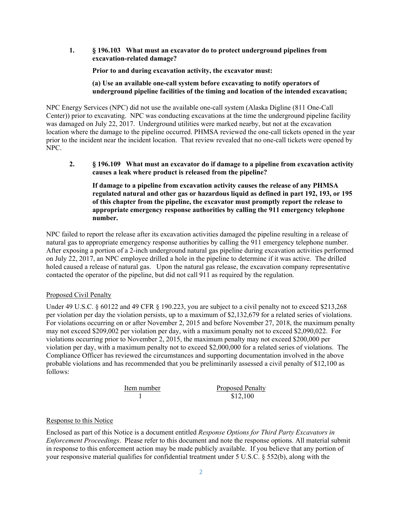**1. § 196.103 What must an excavator do to protect underground pipelines from excavation-related damage?** 

**Prior to and during excavation activity, the excavator must:** 

#### **(a) Use an available one-call system before excavating to notify operators of underground pipeline facilities of the timing and location of the intended excavation;**

NPC Energy Services (NPC) did not use the available one-call system (Alaska Digline (811 One-Call Center)) prior to excavating. NPC was conducting excavations at the time the underground pipeline facility was damaged on July 22, 2017. Underground utilities were marked nearby, but not at the excavation location where the damage to the pipeline occurred. PHMSA reviewed the one-call tickets opened in the year prior to the incident near the incident location. That review revealed that no one-call tickets were opened by NPC.

**2. § 196.109 What must an excavator do if damage to a pipeline from excavation activity causes a leak where product is released from the pipeline?** 

**If damage to a pipeline from excavation activity causes the release of any PHMSA regulated natural and other gas or hazardous liquid as defined in part 192, 193, or 195 of this chapter from the pipeline, the excavator must promptly report the release to appropriate emergency response authorities by calling the 911 emergency telephone number.**

NPC failed to report the release after its excavation activities damaged the pipeline resulting in a release of natural gas to appropriate emergency response authorities by calling the 911 emergency telephone number. After exposing a portion of a 2-inch underground natural gas pipeline during excavation activities performed on July 22, 2017, an NPC employee drilled a hole in the pipeline to determine if it was active. The drilled holed caused a release of natural gas. Upon the natural gas release, the excavation company representative contacted the operator of the pipeline, but did not call 911 as required by the regulation.

## Proposed Civil Penalty

Under 49 U.S.C. § 60122 and 49 CFR § 190.223, you are subject to a civil penalty not to exceed \$213,268 per violation per day the violation persists, up to a maximum of \$2,132,679 for a related series of violations. For violations occurring on or after November 2, 2015 and before November 27, 2018, the maximum penalty may not exceed \$209,002 per violation per day, with a maximum penalty not to exceed \$2,090,022. For violations occurring prior to November 2, 2015, the maximum penalty may not exceed \$200,000 per violation per day, with a maximum penalty not to exceed \$2,000,000 for a related series of violations. The Compliance Officer has reviewed the circumstances and supporting documentation involved in the above probable violations and has recommended that you be preliminarily assessed a civil penalty of \$12,100 as follows:

Item number Proposed Penalty 1 \$12,100

## Response to this Notice

Enclosed as part of this Notice is a document entitled *Response Options for Third Party Excavators in Enforcement Proceedings*. Please refer to this document and note the response options. All material submit in response to this enforcement action may be made publicly available. If you believe that any portion of your responsive material qualifies for confidential treatment under 5 U.S.C. § 552(b), along with the